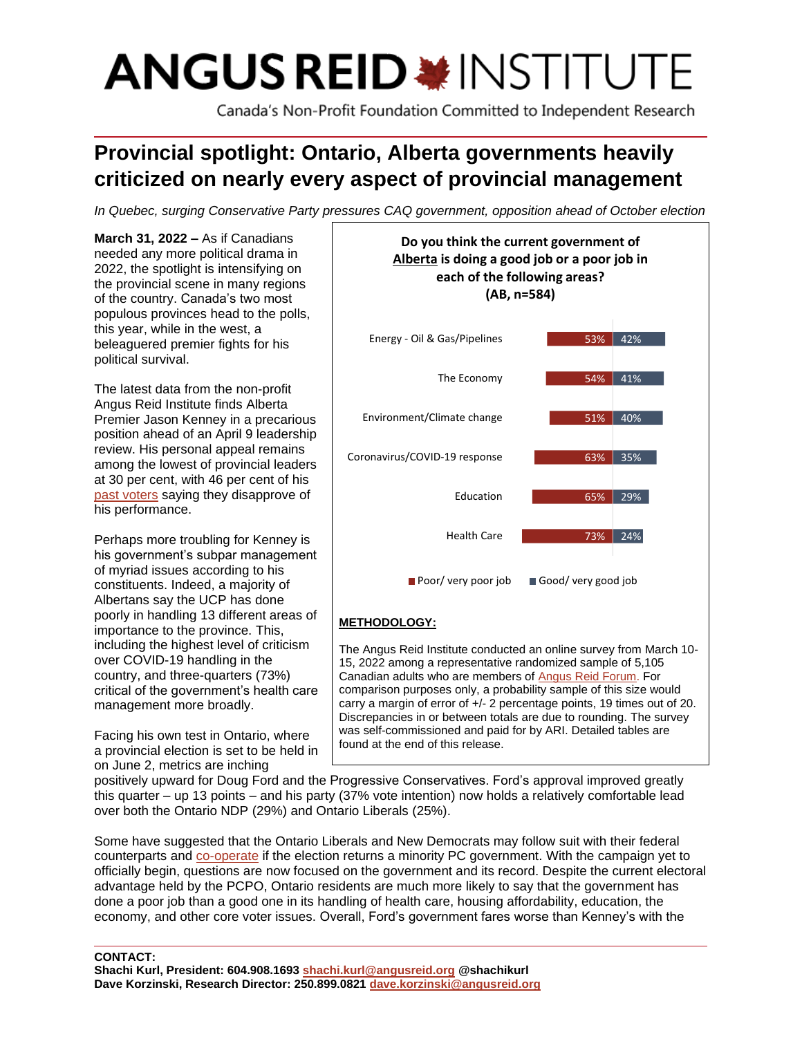# **ANGUS REID \*INSTITUTE**

Canada's Non-Profit Foundation Committed to Independent Research

## **Provincial spotlight: Ontario, Alberta governments heavily criticized on nearly every aspect of provincial management**

*In Quebec, surging Conservative Party pressures CAQ government, opposition ahead of October election*

**March 31, 2022 –** As if Canadians needed any more political drama in 2022, the spotlight is intensifying on the provincial scene in many regions of the country. Canada's two most populous provinces head to the polls, this year, while in the west, a beleaguered premier fights for his political survival.

The latest data from the non-profit Angus Reid Institute finds Alberta Premier Jason Kenney in a precarious position ahead of an April 9 leadership review. His personal appeal remains among the lowest of provincial leaders at 30 per cent, with 46 per cent of his [past voters](https://angusreid.org/wp-content/uploads/2022/03/2022.03.29_Prov_Poli_votelasttables.pdf) saying they disapprove of his performance.

Perhaps more troubling for Kenney is his government's subpar management of myriad issues according to his constituents. Indeed, a majority of Albertans say the UCP has done poorly in handling 13 different areas of importance to the province. This, including the highest level of criticism over COVID-19 handling in the country, and three-quarters (73%) critical of the government's health care management more broadly.

Facing his own test in Ontario, where a provincial election is set to be held in on June 2, metrics are inching



The Angus Reid Institute conducted an online survey from March 10- 15, 2022 among a representative randomized sample of 5,105 Canadian adults who are members of [Angus](http://www.angusreidforum.com/) Reid Forum. For comparison purposes only, a probability sample of this size would carry a margin of error of +/- 2 percentage points, 19 times out of 20. Discrepancies in or between totals are due to rounding. The survey was self-commissioned and paid for by ARI. Detailed tables are found at the end of this release.

positively upward for Doug Ford and the Progressive Conservatives. Ford's approval improved greatly this quarter – up 13 points – and his party (37% vote intention) now holds a relatively comfortable lead over both the Ontario NDP (29%) and Ontario Liberals (25%).

Some have suggested that the Ontario Liberals and New Democrats may follow suit with their federal counterparts and [co-operate](https://www.cbc.ca/news/canada/toronto/ontario-election-liberal-ndp-minority-doug-ford-1.6393742) if the election returns a minority PC government. With the campaign yet to officially begin, questions are now focused on the government and its record. Despite the current electoral advantage held by the PCPO, Ontario residents are much more likely to say that the government has done a poor job than a good one in its handling of health care, housing affordability, education, the economy, and other core voter issues. Overall, Ford's government fares worse than Kenney's with the

**CONTACT:**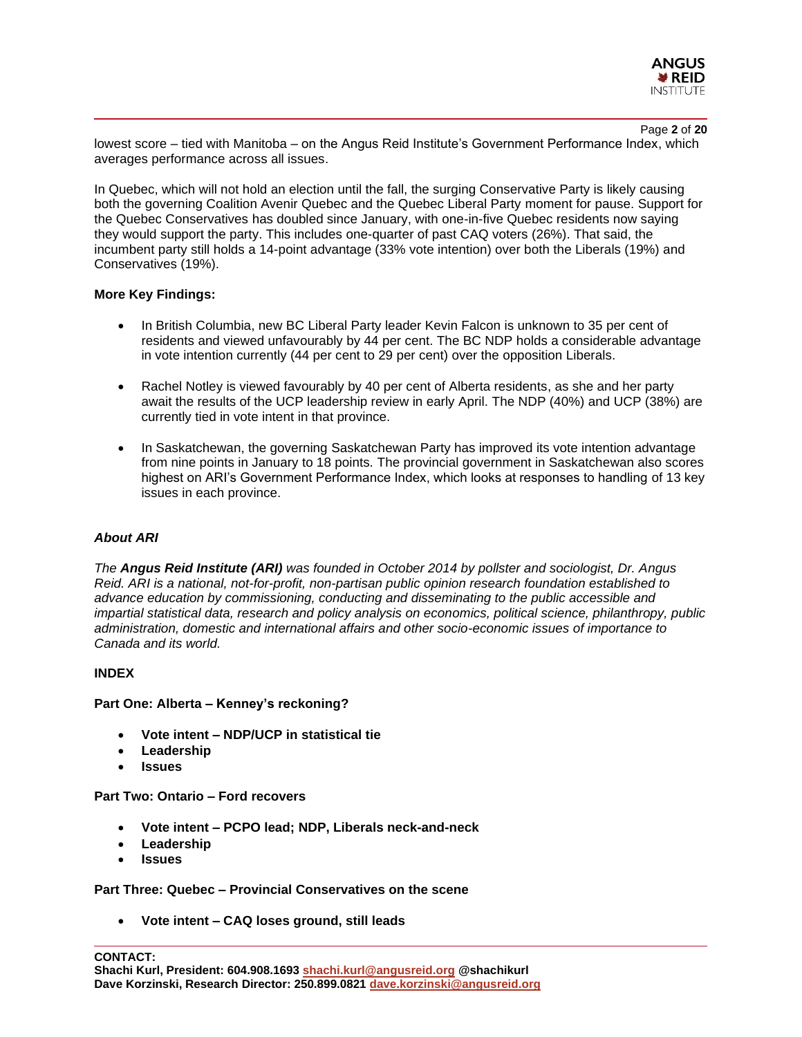

Page **2** of **20** lowest score – tied with Manitoba – on the Angus Reid Institute's Government Performance Index, which averages performance across all issues.

In Quebec, which will not hold an election until the fall, the surging Conservative Party is likely causing both the governing Coalition Avenir Quebec and the Quebec Liberal Party moment for pause. Support for the Quebec Conservatives has doubled since January, with one-in-five Quebec residents now saying they would support the party. This includes one-quarter of past CAQ voters (26%). That said, the incumbent party still holds a 14-point advantage (33% vote intention) over both the Liberals (19%) and Conservatives (19%).

## **More Key Findings:**

- In British Columbia, new BC Liberal Party leader Kevin Falcon is unknown to 35 per cent of residents and viewed unfavourably by 44 per cent. The BC NDP holds a considerable advantage in vote intention currently (44 per cent to 29 per cent) over the opposition Liberals.
- Rachel Notley is viewed favourably by 40 per cent of Alberta residents, as she and her party await the results of the UCP leadership review in early April. The NDP (40%) and UCP (38%) are currently tied in vote intent in that province.
- In Saskatchewan, the governing Saskatchewan Party has improved its vote intention advantage from nine points in January to 18 points. The provincial government in Saskatchewan also scores highest on ARI's Government Performance Index, which looks at responses to handling of 13 key issues in each province.

## *About ARI*

*The Angus Reid Institute (ARI) was founded in October 2014 by pollster and sociologist, Dr. Angus Reid. ARI is a national, not-for-profit, non-partisan public opinion research foundation established to advance education by commissioning, conducting and disseminating to the public accessible and impartial statistical data, research and policy analysis on economics, political science, philanthropy, public administration, domestic and international affairs and other socio-economic issues of importance to Canada and its world.*

## **INDEX**

## **Part One: Alberta – Kenney's reckoning?**

- **Vote intent – NDP/UCP in statistical tie**
- **Leadership**
- **Issues**

## **Part Two: Ontario – Ford recovers**

- **Vote intent – PCPO lead; NDP, Liberals neck-and-neck**
- **Leadership**
- **Issues**

**Part Three: Quebec – Provincial Conservatives on the scene**

• **Vote intent – CAQ loses ground, still leads**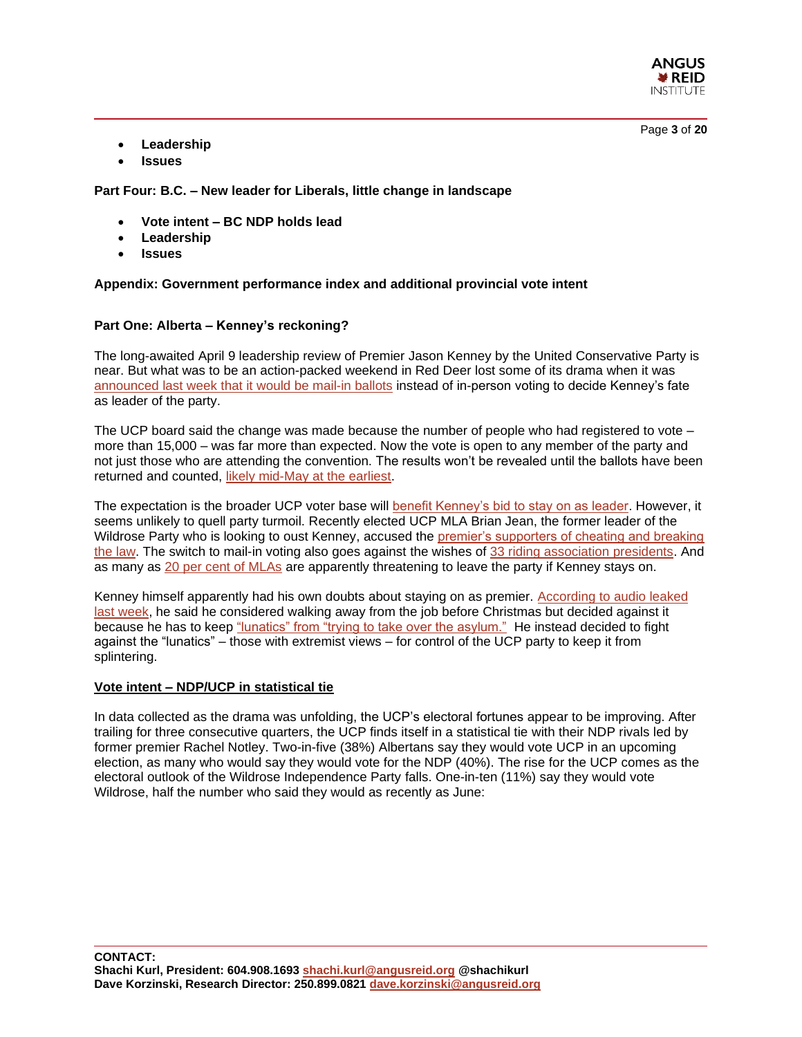

Page **3** of **20**

- **Leadership**
- **Issues**

**Part Four: B.C. – New leader for Liberals, little change in landscape**

- **Vote intent – BC NDP holds lead**
- **Leadership**
- **Issues**

## **Appendix: Government performance index and additional provincial vote intent**

## **Part One: Alberta – Kenney's reckoning?**

The long-awaited April 9 leadership review of Premier Jason Kenney by the United Conservative Party is near. But what was to be an action-packed weekend in Red Deer lost some of its drama when it was [announced last week that it would be mail-in ballots](https://www.cbc.ca/news/canada/edmonton/jason-kenney-leadership-vote-1.6394733) instead of in-person voting to decide Kenney's fate as leader of the party.

The UCP board said the change was made because the number of people who had registered to vote – more than 15,000 – was far more than expected. Now the vote is open to any member of the party and not just those who are attending the convention. The results won't be revealed until the ballots have been returned and counted, [likely mid-May at the earliest.](https://calgaryherald.com/opinion/columnists/braid-why-mail-in-ballots-they-give-kenney-a-better-chance)

The expectation is the broader UCP voter base will [benefit Kenney's bid to stay on as leader.](https://calgaryherald.com/opinion/columnists/braid-why-mail-in-ballots-they-give-kenney-a-better-chance) However, it seems unlikely to quell party turmoil. Recently elected UCP MLA Brian Jean, the former leader of the Wildrose Party who is looking to oust Kenney, accused the premier's supporters of cheating and breaking [the law.](https://edmonton.ctvnews.ca/jean-accuses-kenney-camp-of-cheating-breaking-the-law-in-leadership-vote-1.5831187) The switch to mail-in voting also goes against the wishes of [33 riding association presidents.](https://calgaryherald.com/opinion/columnists/braid-why-mail-in-ballots-they-give-kenney-a-better-chance) And as many as [20 per cent of MLAs](https://www.cbc.ca/news/canada/calgary/united-conservative-party-ucp-jason-kenney-red-deer-1.6393577) are apparently threatening to leave the party if Kenney stays on.

Kenney himself apparently had his own doubts about staying on as premier. [According to audio leaked](https://www.cbc.ca/news/canada/calgary/kenney-recording-ucp-alberta-leadership-review-staff-1.6396647)  [last week,](https://www.cbc.ca/news/canada/calgary/kenney-recording-ucp-alberta-leadership-review-staff-1.6396647) he said he considered walking away from the job before Christmas but decided against it because he has to keep ["lunatics" from "trying to take over the asylum."](https://www.cbc.ca/news/canada/calgary/kenney-recording-ucp-alberta-leadership-review-staff-1.6396647) He instead decided to fight against the "lunatics" – those with extremist views – for control of the UCP party to keep it from splintering.

## **Vote intent – NDP/UCP in statistical tie**

In data collected as the drama was unfolding, the UCP's electoral fortunes appear to be improving. After trailing for three consecutive quarters, the UCP finds itself in a statistical tie with their NDP rivals led by former premier Rachel Notley. Two-in-five (38%) Albertans say they would vote UCP in an upcoming election, as many who would say they would vote for the NDP (40%). The rise for the UCP comes as the electoral outlook of the Wildrose Independence Party falls. One-in-ten (11%) say they would vote Wildrose, half the number who said they would as recently as June: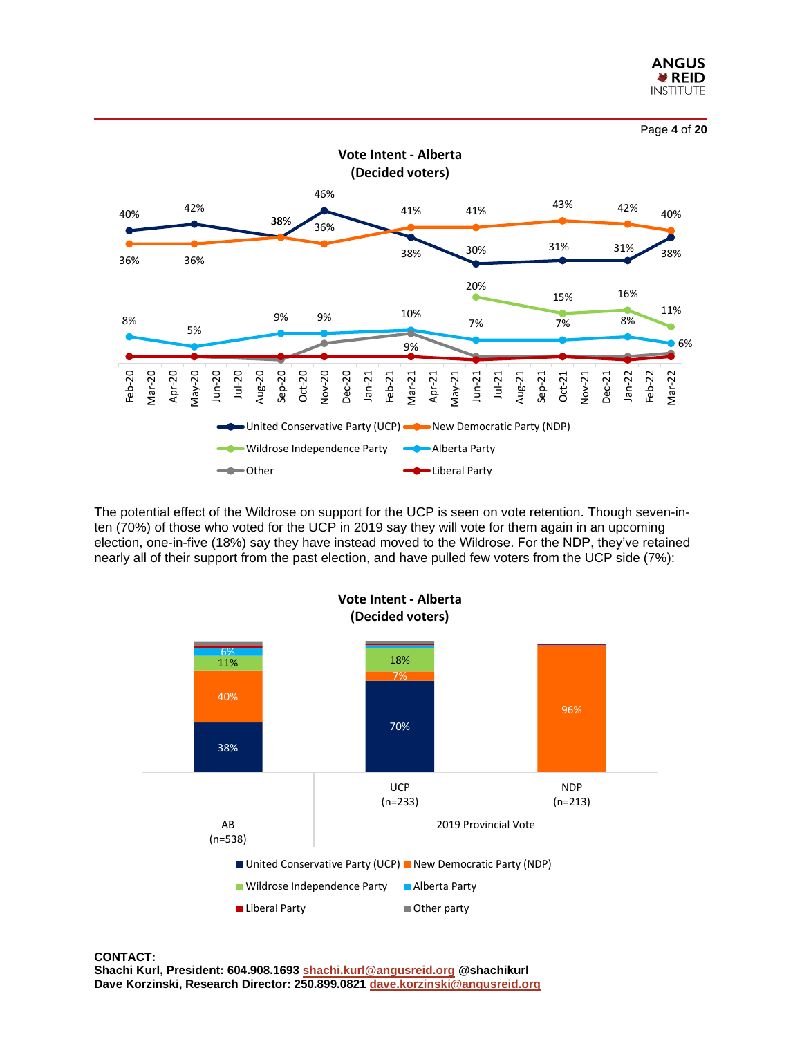



The potential effect of the Wildrose on support for the UCP is seen on vote retention. Though seven-inten (70%) of those who voted for the UCP in 2019 say they will vote for them again in an upcoming election, one-in-five (18%) say they have instead moved to the Wildrose. For the NDP, they've retained nearly all of their support from the past election, and have pulled few voters from the UCP side (7%):

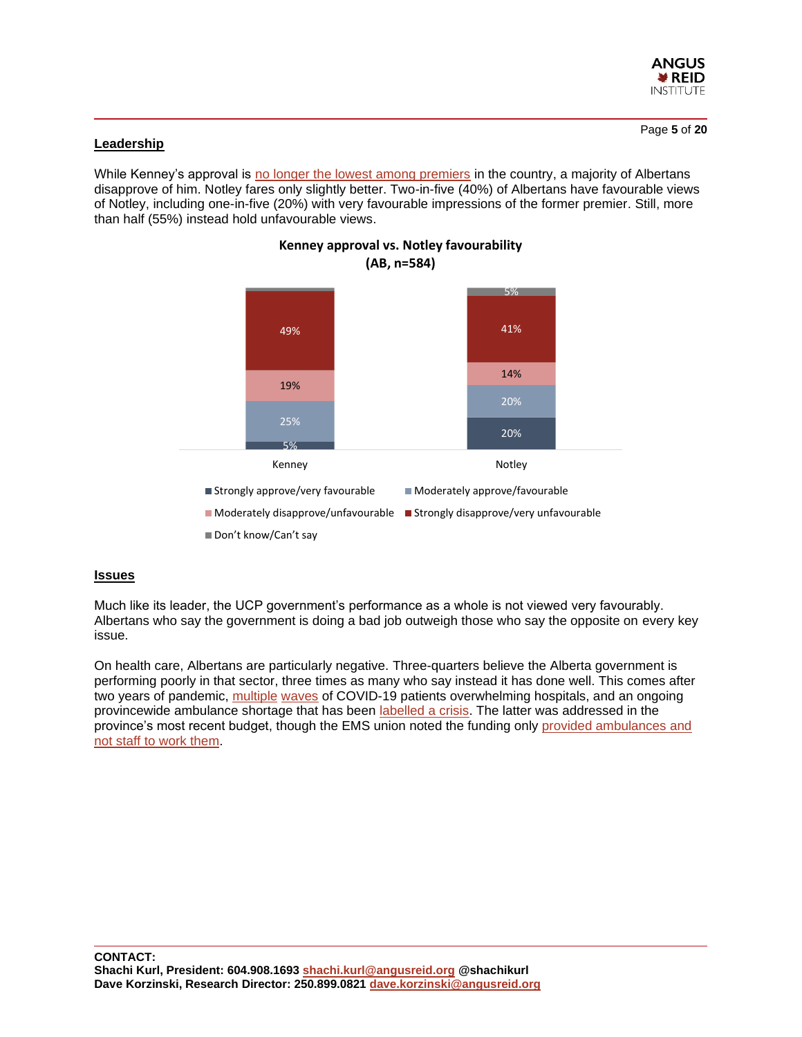

Page **5** of **20**

## **Leadership**

While Kenney's approval is [no longer the lowest among premiers](https://angusreid.org/premiers-performance-march/) in the country, a majority of Albertans disapprove of him. Notley fares only slightly better. Two-in-five (40%) of Albertans have favourable views of Notley, including one-in-five (20%) with very favourable impressions of the former premier. Still, more than half (55%) instead hold unfavourable views.



## **Kenney approval vs. Notley favourability**

## **Issues**

Much like its leader, the UCP government's performance as a whole is not viewed very favourably. Albertans who say the government is doing a bad job outweigh those who say the opposite on every key issue.

On health care, Albertans are particularly negative. Three-quarters believe the Alberta government is performing poorly in that sector, three times as many who say instead it has done well. This comes after two years of pandemic, [multiple](https://www.cbc.ca/news/health/alberta-fourth-wave-surge-hospitals-icu-covid-19-1.6197263) [waves](https://www.ctvnews.ca/health/coronavirus/field-hospitals-and-cancelled-surgeries-health-care-system-under-siege-by-rising-covid-19-cases-1.5255136) of COVID-19 patients overwhelming hospitals, and an ongoing provincewide ambulance shortage that has been [labelled a crisis.](https://calgary.ctvnews.ca/code-red-alberta-s-paramedics-union-declares-state-of-crisis-due-to-staffing-shortages-1.5640888) The latter was addressed in the province's most recent budget, though the EMS union noted the funding only [provided ambulances and](https://globalnews.ca/news/8674390/alberta-ems-funding-details/)  [not staff to work them.](https://globalnews.ca/news/8674390/alberta-ems-funding-details/)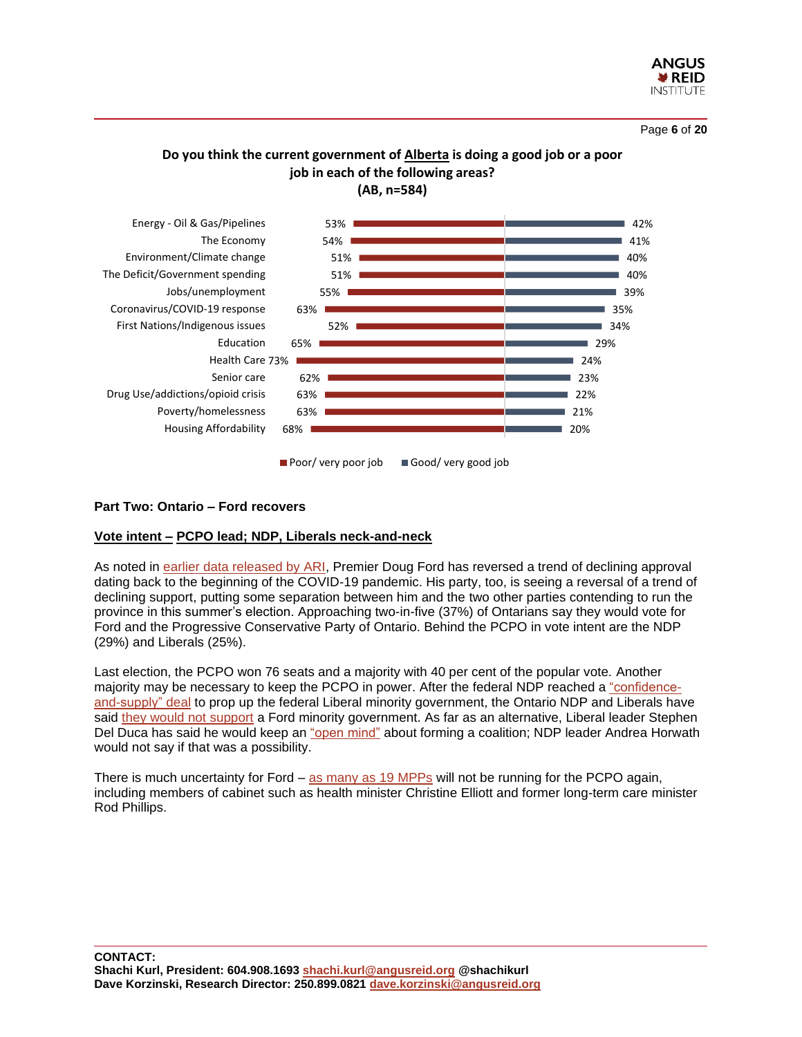

Page **6** of **20**

## **Do you think the current government of Alberta is doing a good job or a poor job in each of the following areas? (AB, n=584)**



## **Part Two: Ontario – Ford recovers**

## **Vote intent – PCPO lead; NDP, Liberals neck-and-neck**

As noted in [earlier data released by ARI,](https://angusreid.org/premiers-performance-march/) Premier Doug Ford has reversed a trend of declining approval dating back to the beginning of the COVID-19 pandemic. His party, too, is seeing a reversal of a trend of declining support, putting some separation between him and the two other parties contending to run the province in this summer's election. Approaching two-in-five (37%) of Ontarians say they would vote for Ford and the Progressive Conservative Party of Ontario. Behind the PCPO in vote intent are the NDP (29%) and Liberals (25%).

Last election, the PCPO won 76 seats and a majority with 40 per cent of the popular vote. Another majority may be necessary to keep the PCPO in power. After the federal NDP reached a ["confidence](https://angusreid.org/ndp-liberal-confidence-supply-coalition/)[and-supply" deal](https://angusreid.org/ndp-liberal-confidence-supply-coalition/) to prop up the federal Liberal minority government, the Ontario NDP and Liberals have said [they would not support](https://torontosun.com/news/provincial/ontario-ndp-and-liberals-wont-back-minority-ford-govt) a Ford minority government. As far as an alternative, Liberal leader Stephen Del Duca has said he would keep an ["open mind"](https://torontosun.com/news/provincial/ontario-ndp-and-liberals-wont-back-minority-ford-govt) about forming a coalition; NDP leader Andrea Horwath would not say if that was a possibility.

There is much uncertainty for Ford – [as many as 19 MPPs](https://www.thestar.com/politics/provincial/2022/03/14/doug-ford-says-current-pc-candidates-a-better-slate-but-insiders-say-team-weakened-by-loss-of-top-mpps.html) will not be running for the PCPO again, including members of cabinet such as health minister Christine Elliott and former long-term care minister Rod Phillips.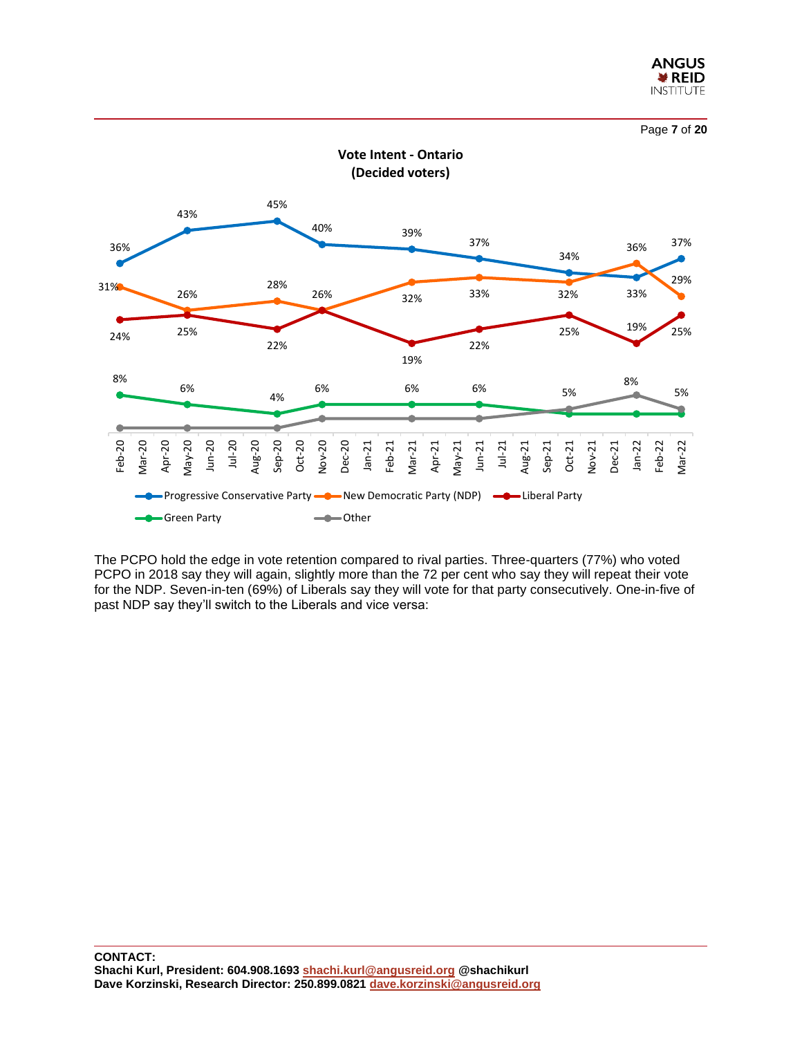





The PCPO hold the edge in vote retention compared to rival parties. Three-quarters (77%) who voted PCPO in 2018 say they will again, slightly more than the 72 per cent who say they will repeat their vote for the NDP. Seven-in-ten (69%) of Liberals say they will vote for that party consecutively. One-in-five of past NDP say they'll switch to the Liberals and vice versa: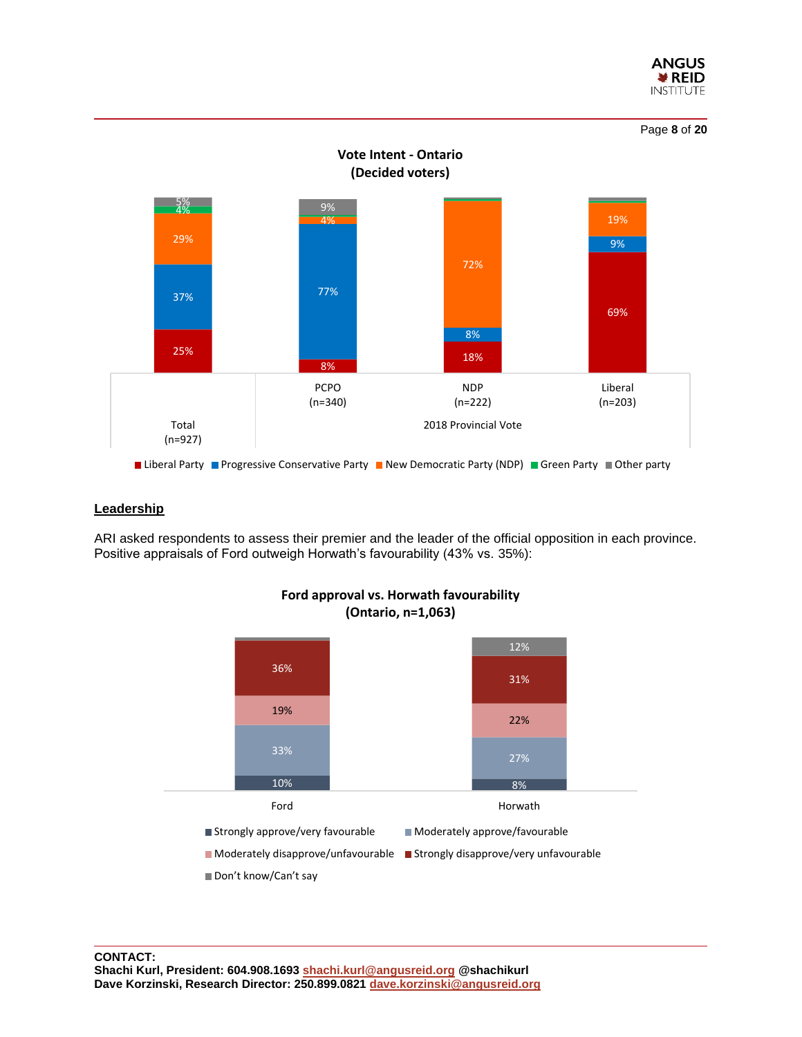





## **Leadership**

ARI asked respondents to assess their premier and the leader of the official opposition in each province. Positive appraisals of Ford outweigh Horwath's favourability (43% vs. 35%):



## **Ford approval vs. Horwath favourability (Ontario, n=1,063)**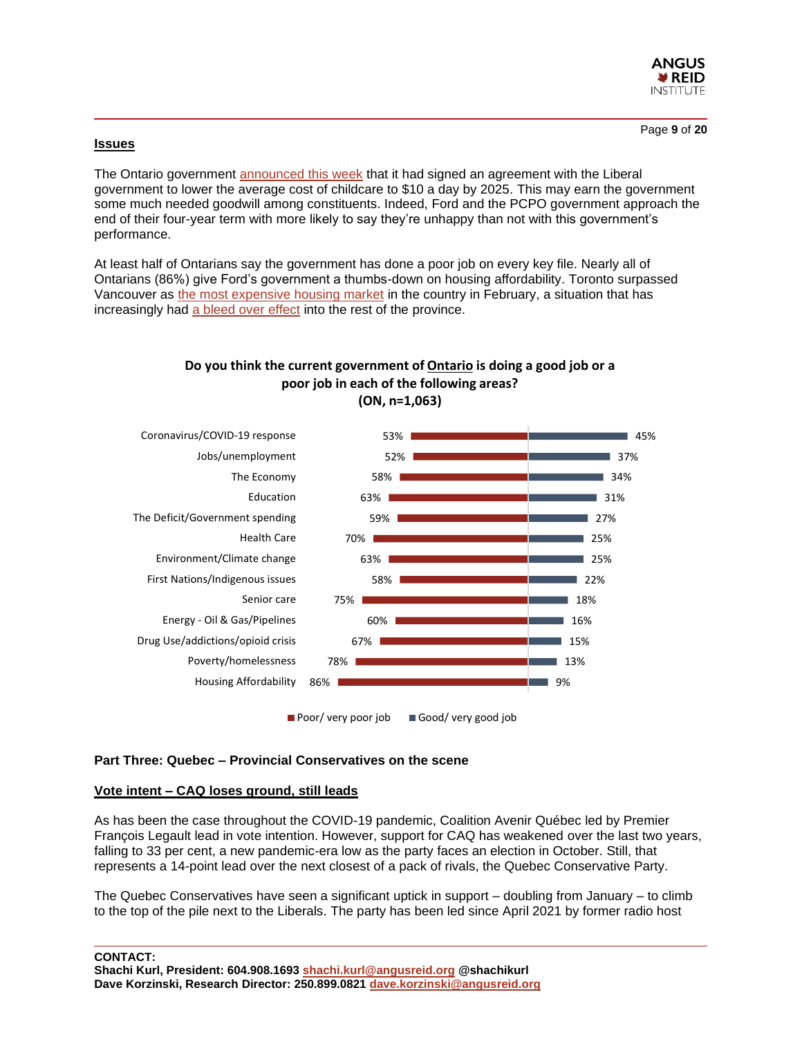

Page **9** of **20**

## **Issues**

The Ontario government [announced this week](https://globalnews.ca/news/8715126/ontario-child-care-deal-federal-government/) that it had signed an agreement with the Liberal government to lower the average cost of childcare to \$10 a day by 2025. This may earn the government some much needed goodwill among constituents. Indeed, Ford and the PCPO government approach the end of their four-year term with more likely to say they're unhappy than not with this government's performance.

At least half of Ontarians say the government has done a poor job on every key file. Nearly all of Ontarians (86%) give Ford's government a thumbs-down on housing affordability. Toronto surpassed Vancouver as [the most expensive housing market](https://toronto.ctvnews.ca/toronto-beats-vancouver-as-most-expensive-real-estate-market-in-canada-report-suggest-1.5772747) in the country in February, a situation that has increasingly had [a bleed over](https://ca.finance.yahoo.com/news/canada-real-estate-ontario-mayors-give-their-take-on-soaring-home-prices-163209959.html) effect into the rest of the province.

## **Do you think the current government of Ontario is doing a good job or a poor job in each of the following areas?**



**(ON, n=1,063)**

## **Part Three: Quebec – Provincial Conservatives on the scene**

## **Vote intent – CAQ loses ground, still leads**

As has been the case throughout the COVID-19 pandemic, Coalition Avenir Québec led by Premier François Legault lead in vote intention. However, support for CAQ has weakened over the last two years, falling to 33 per cent, a new pandemic-era low as the party faces an election in October. Still, that represents a 14-point lead over the next closest of a pack of rivals, the Quebec Conservative Party.

The Quebec Conservatives have seen a significant uptick in support – doubling from January – to climb to the top of the pile next to the Liberals. The party has been led since April 2021 by former radio host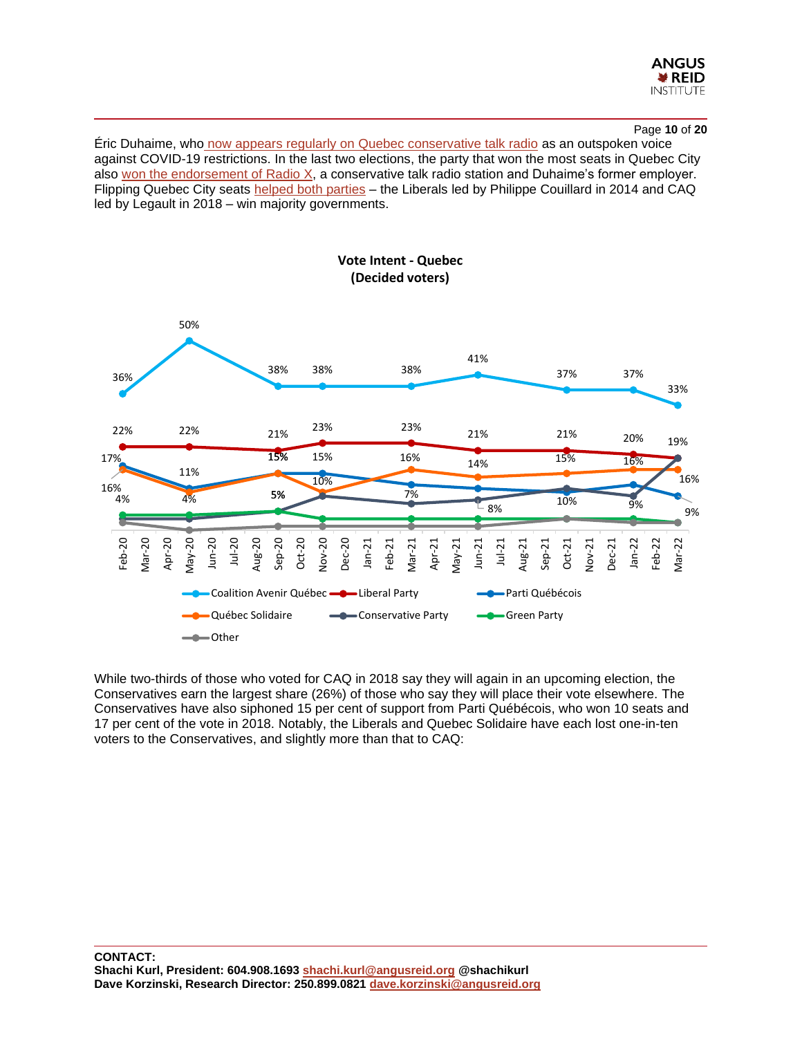

## Page **10** of **20**

Éric Duhaime, who [now appears regularly on Quebec conservative talk radio](https://ricochet.media/en/3838/radio-poubelle-quebec-citys-merchants-of-hostility) as an outspoken voice against COVID-19 restrictions. In the last two elections, the party that won the most seats in Quebec City also [won the endorsement of Radio X,](https://ricochet.media/en/3838/radio-poubelle-quebec-citys-merchants-of-hostility) a conservative talk radio station and Duhaime's former employer. Flipping Quebec City seats [helped both parties](https://ricochet.media/en/3838/radio-poubelle-quebec-citys-merchants-of-hostility) – the Liberals led by Philippe Couillard in 2014 and CAQ led by Legault in 2018 – win majority governments.



While two-thirds of those who voted for CAQ in 2018 say they will again in an upcoming election, the Conservatives earn the largest share (26%) of those who say they will place their vote elsewhere. The Conservatives have also siphoned 15 per cent of support from Parti Québécois, who won 10 seats and 17 per cent of the vote in 2018. Notably, the Liberals and Quebec Solidaire have each lost one-in-ten voters to the Conservatives, and slightly more than that to CAQ: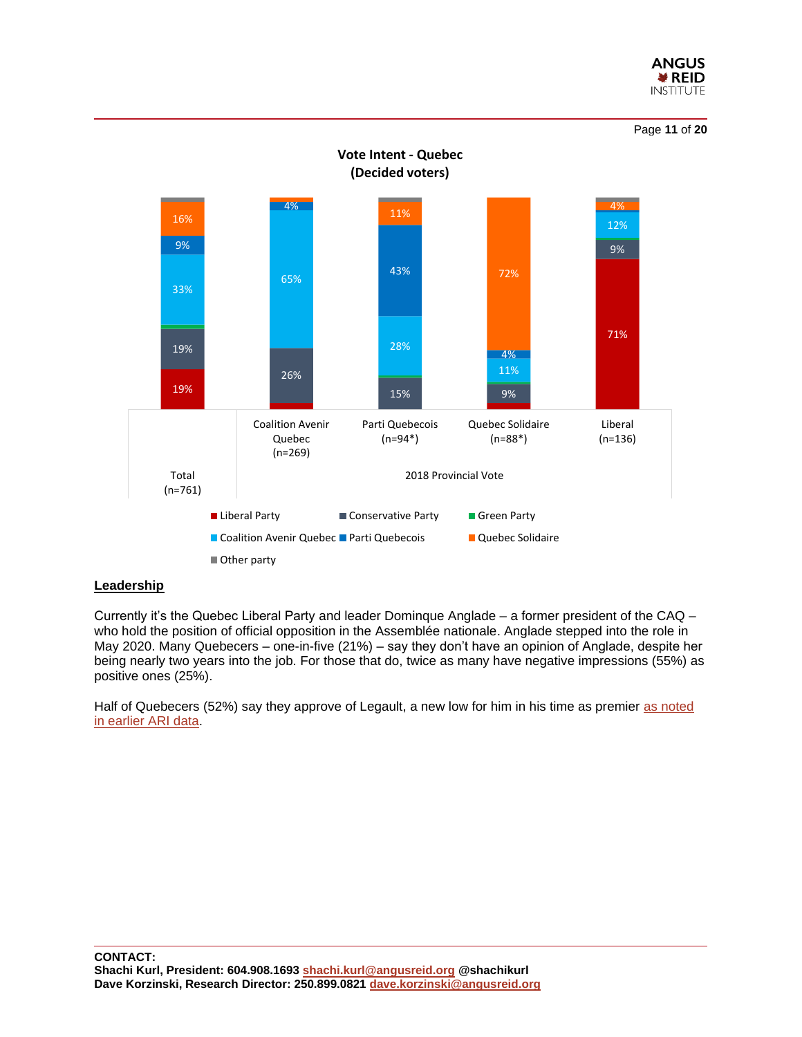





## **Leadership**

Currently it's the Quebec Liberal Party and leader Dominque Anglade – a former president of the CAQ – who hold the position of official opposition in the Assemblée nationale. Anglade stepped into the role in May 2020. Many Quebecers – one-in-five (21%) – say they don't have an opinion of Anglade, despite her being nearly two years into the job. For those that do, twice as many have negative impressions (55%) as positive ones (25%).

Half of Quebecers (52%) say they approve of Legault, a new low for him in his time as premier as noted [in earlier ARI data.](https://angusreid.org/premiers-performance-march/)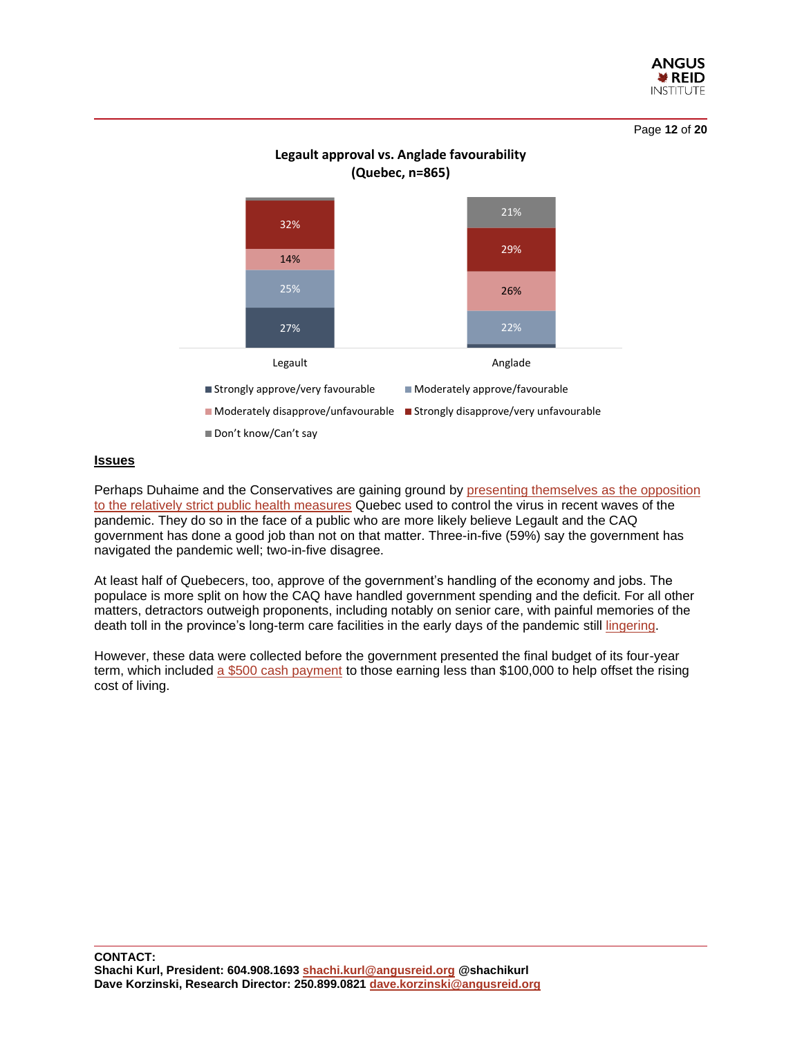

Page **12** of **20**



## **Legault approval vs. Anglade favourability (Quebec, n=865)**

## **Issues**

Perhaps Duhaime and the Conservatives are gaining ground by [presenting themselves as the opposition](https://ricochet.media/en/3838/radio-poubelle-quebec-citys-merchants-of-hostility)  [to the relatively strict public health measures](https://ricochet.media/en/3838/radio-poubelle-quebec-citys-merchants-of-hostility) Quebec used to control the virus in recent waves of the pandemic. They do so in the face of a public who are more likely believe Legault and the CAQ government has done a good job than not on that matter. Three-in-five (59%) say the government has navigated the pandemic well; two-in-five disagree.

At least half of Quebecers, too, approve of the government's handling of the economy and jobs. The populace is more split on how the CAQ have handled government spending and the deficit. For all other matters, detractors outweigh proponents, including notably on senior care, with painful memories of the death toll in the province's long-term care facilities in the early days of the pandemic still [lingering.](https://www.cbc.ca/news/canada/montreal/quebec-ombudsman-recommendations-1.6259391)

However, these data were collected before the government presented the final budget of its four-year term, which included [a \\$500 cash payment](https://globalnews.ca/news/8700333/quebec-budget-2022/) to those earning less than \$100,000 to help offset the rising cost of living.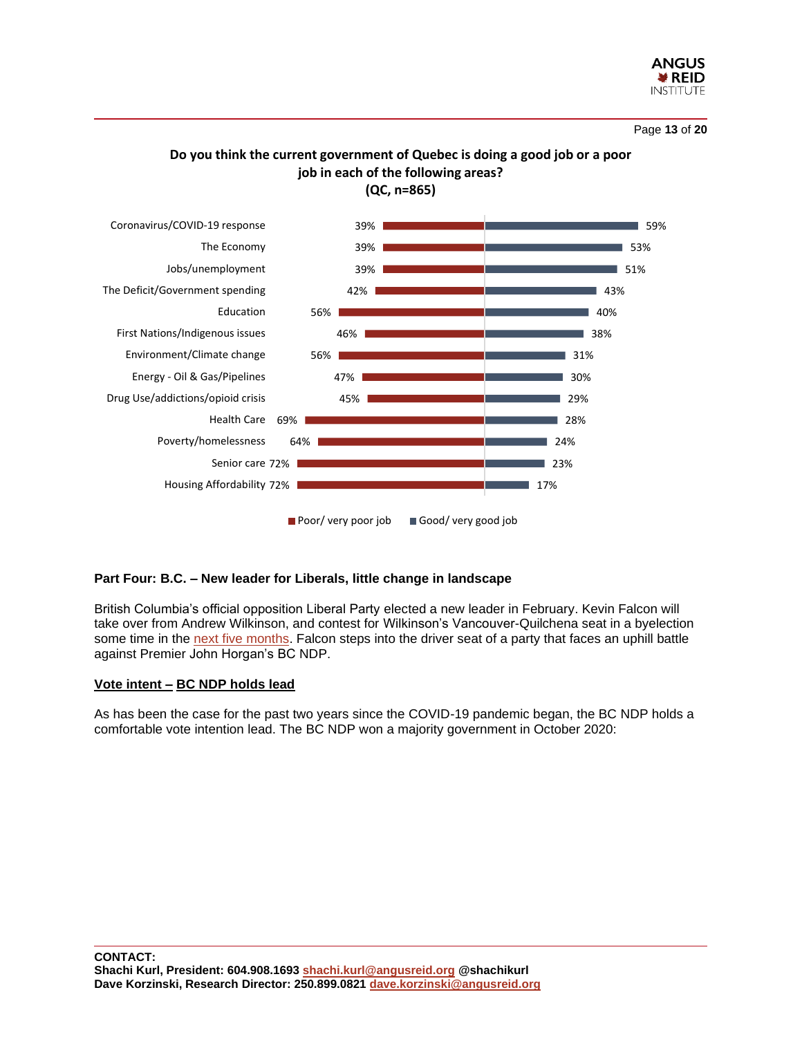

## **Do you think the current government of Quebec is doing a good job or a poor job in each of the following areas? (QC, n=865)**



## **Part Four: B.C. – New leader for Liberals, little change in landscape**

British Columbia's official opposition Liberal Party elected a new leader in February. Kevin Falcon will take over from Andrew Wilkinson, and contest for Wilkinson's Vancouver-Quilchena seat in a byelection some time in the [next five months.](https://www.cbc.ca/news/canada/british-columbia/falcon-vancouver-quilchena-byelection-1.6342694) Falcon steps into the driver seat of a party that faces an uphill battle against Premier John Horgan's BC NDP.

## **Vote intent – BC NDP holds lead**

As has been the case for the past two years since the COVID-19 pandemic began, the BC NDP holds a comfortable vote intention lead. The BC NDP won a majority government in October 2020: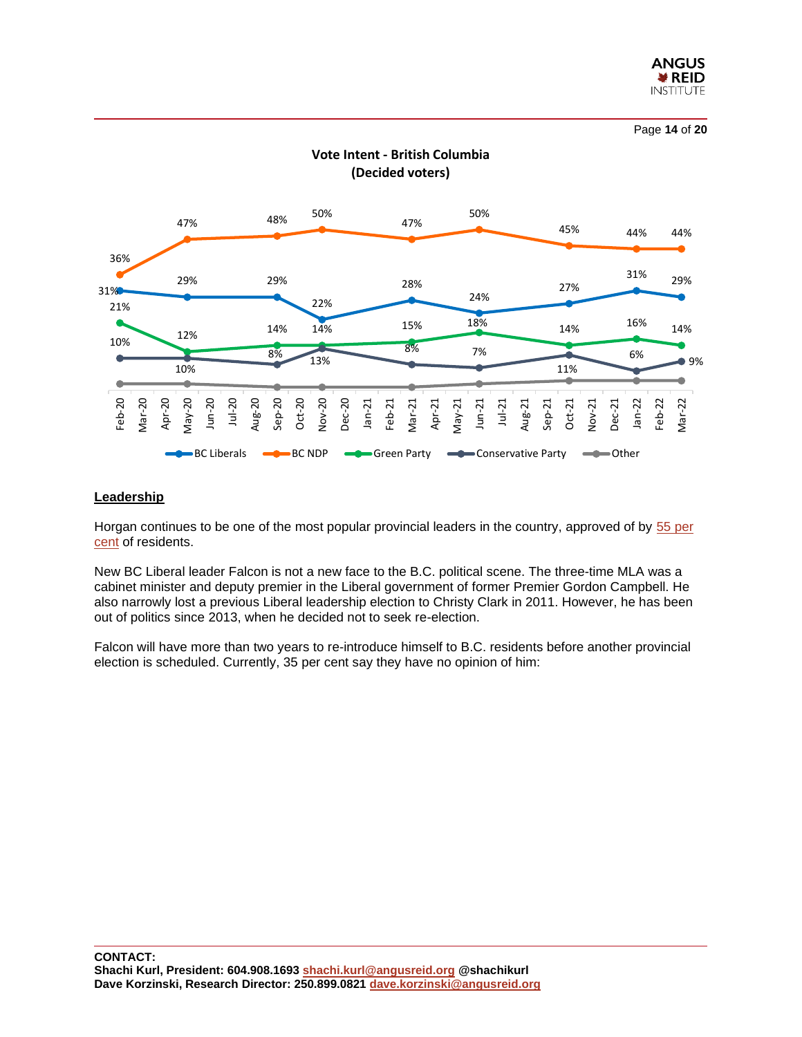

Page **14** of **20**



## **Leadership**

Horgan continues to be one of the most popular provincial leaders in the country, approved of by [55 per](https://angusreid.org/premiers-performance-march/)  [cent](https://angusreid.org/premiers-performance-march/) of residents.

New BC Liberal leader Falcon is not a new face to the B.C. political scene. The three-time MLA was a cabinet minister and deputy premier in the Liberal government of former Premier Gordon Campbell. He also narrowly lost a previous Liberal leadership election to Christy Clark in 2011. However, he has been out of politics since 2013, when he decided not to seek re-election.

Falcon will have more than two years to re-introduce himself to B.C. residents before another provincial election is scheduled. Currently, 35 per cent say they have no opinion of him: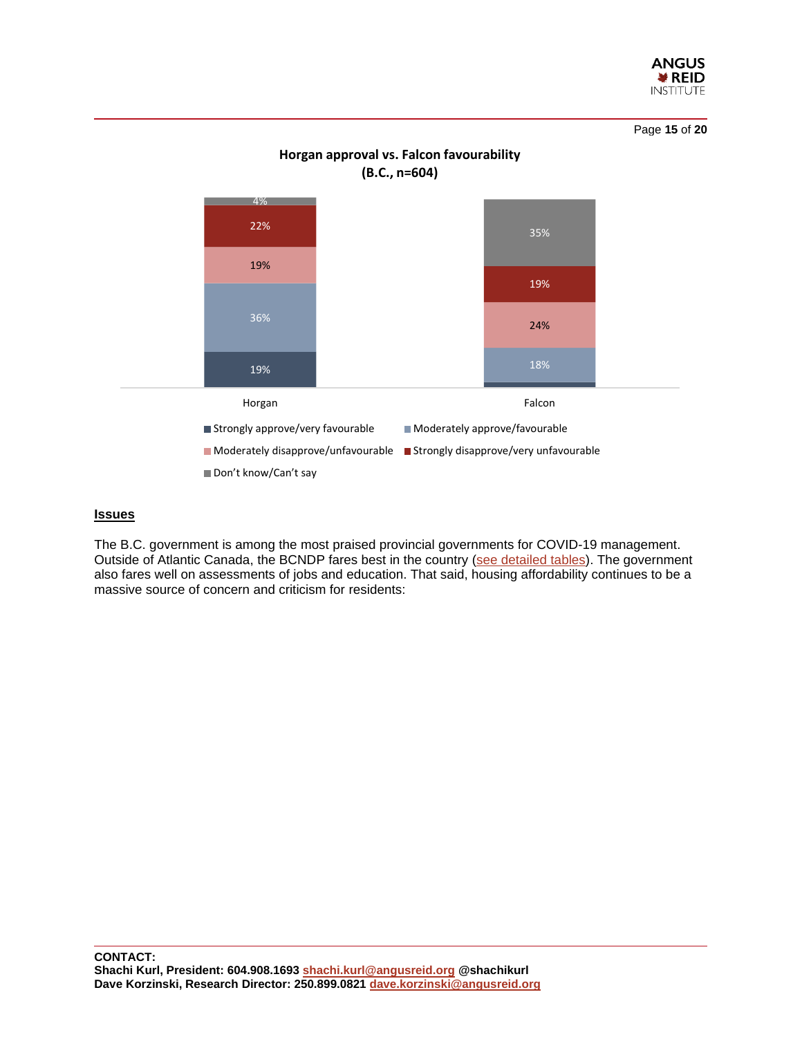

Page **15** of **20**



## **Horgan approval vs. Falcon favourability**

## **Issues**

The B.C. government is among the most praised provincial governments for COVID-19 management. Outside of Atlantic Canada, the BCNDP fares best in the country [\(see detailed tables\)](https://angusreid.org/wp-content/uploads/2022/03/2022.03.28_Provincial_Spotlight_release_tables.pdf). The government also fares well on assessments of jobs and education. That said, housing affordability continues to be a massive source of concern and criticism for residents: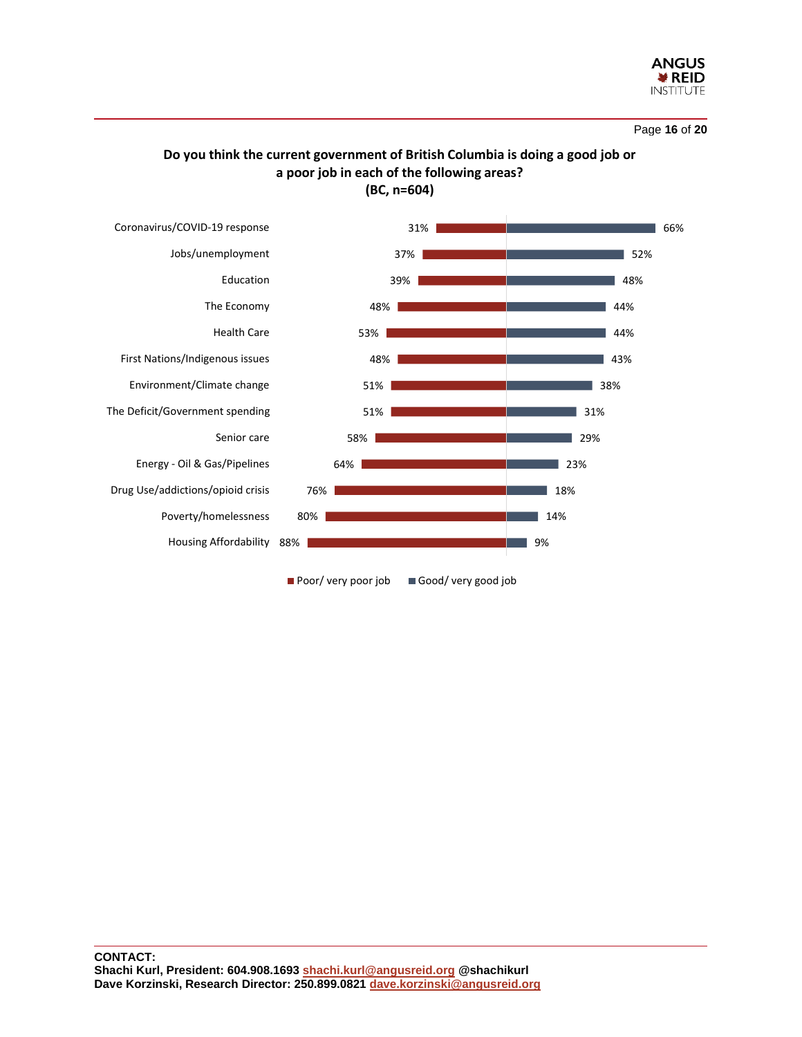

Page **16** of **20**

## **Do you think the current government of British Columbia is doing a good job or a poor job in each of the following areas? (BC, n=604)**



**CONTACT: Shachi Kurl, President: 604.908.1693 [shachi.kurl@angusreid.org](mailto:shachi.kurl@angusreid.org) @shachikurl Dave Korzinski, Research Director: 250.899.0821 [dave.korzinski@angusreid.org](mailto:dave.korzinski@angusreid.org)**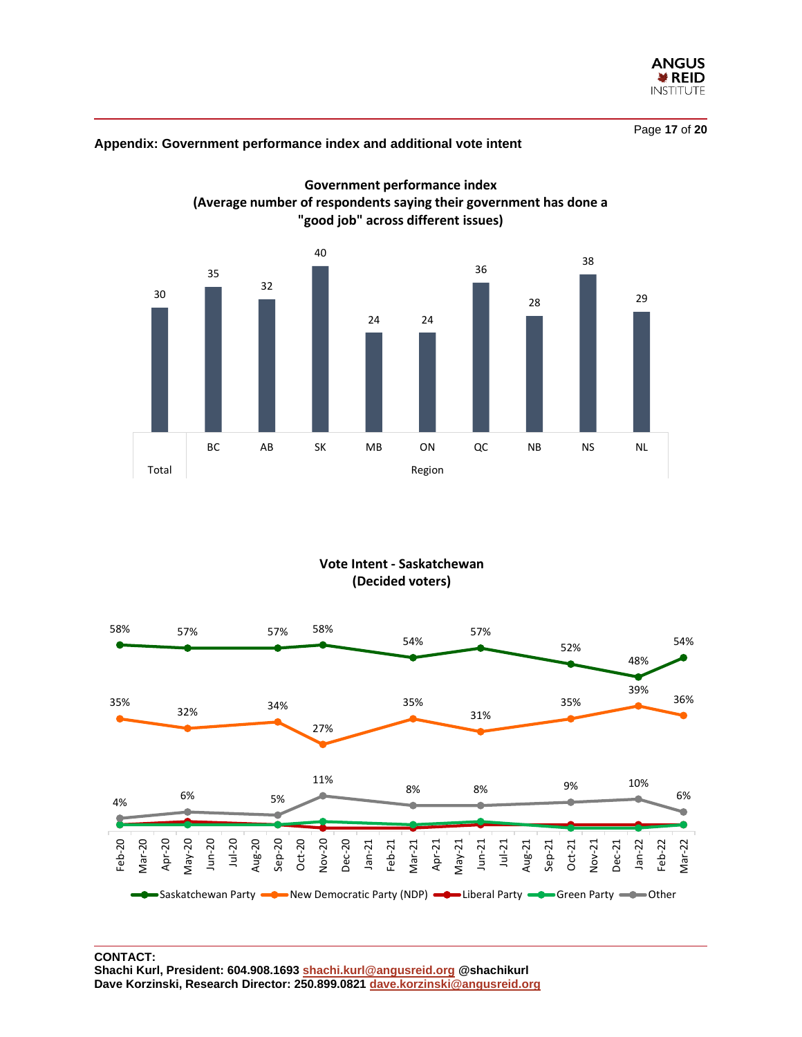

Page **17** of **20**

## 30 35 32 40 24 24 36 28 38 29 BC AB SK MB ON QC NB NS NL Total and the contract of the contract of the Region **(Average number of respondents saying their government has done a "good job" across different issues)**

**Government performance index**

## **Appendix: Government performance index and additional vote intent**

**Vote Intent - Saskatchewan (Decided voters)**

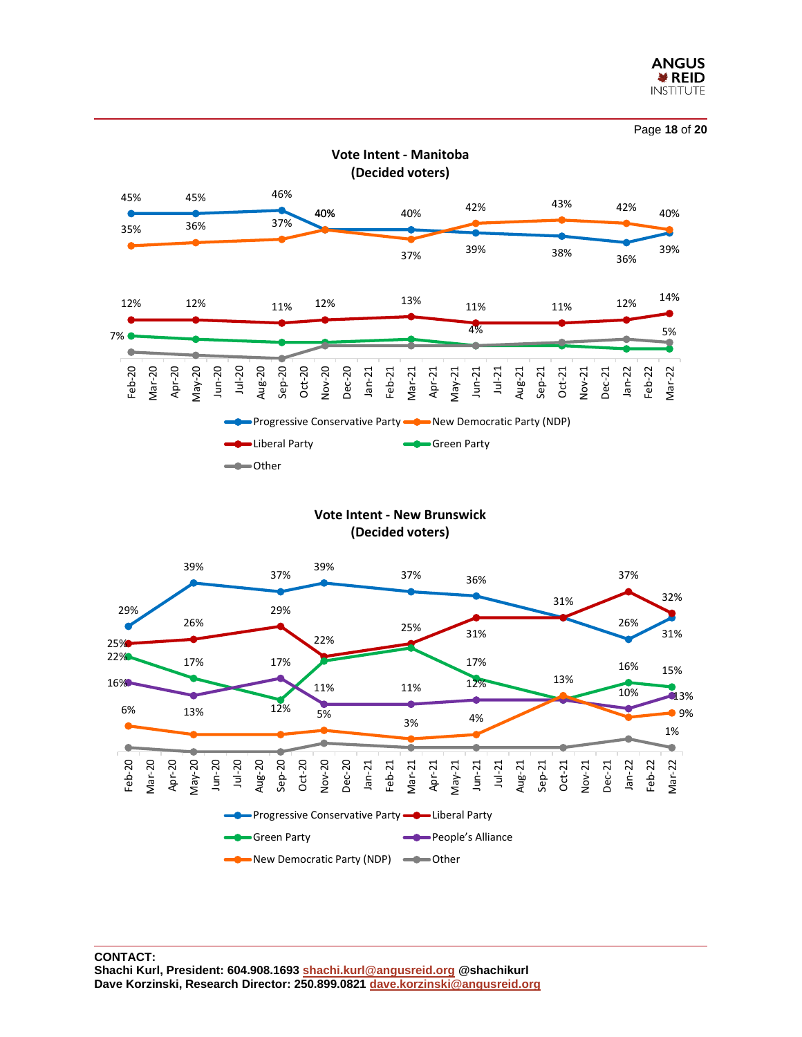



**Vote Intent - New Brunswick (Decided voters)**

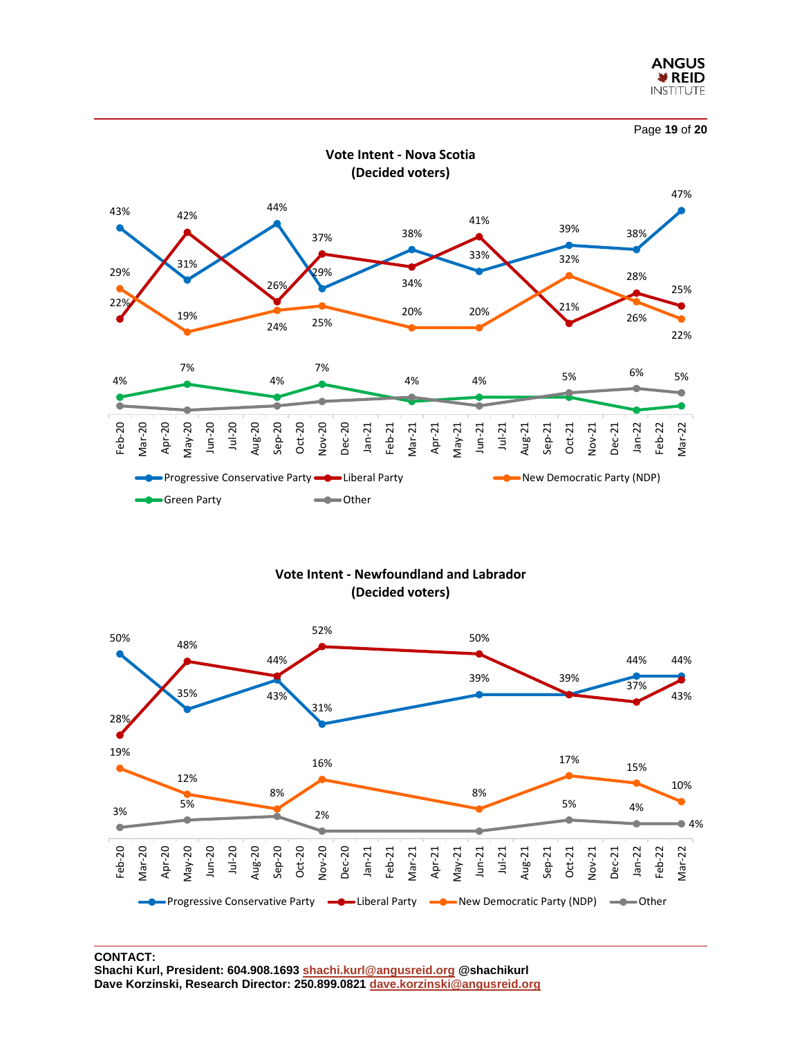



**Vote Intent - Newfoundland and Labrador (Decided voters)**



**CONTACT: Shachi Kurl, President: 604.908.1693 [shachi.kurl@angusreid.org](mailto:shachi.kurl@angusreid.org) @shachikurl Dave Korzinski, Research Director: 250.899.0821 [dave.korzinski@angusreid.org](mailto:dave.korzinski@angusreid.org)**